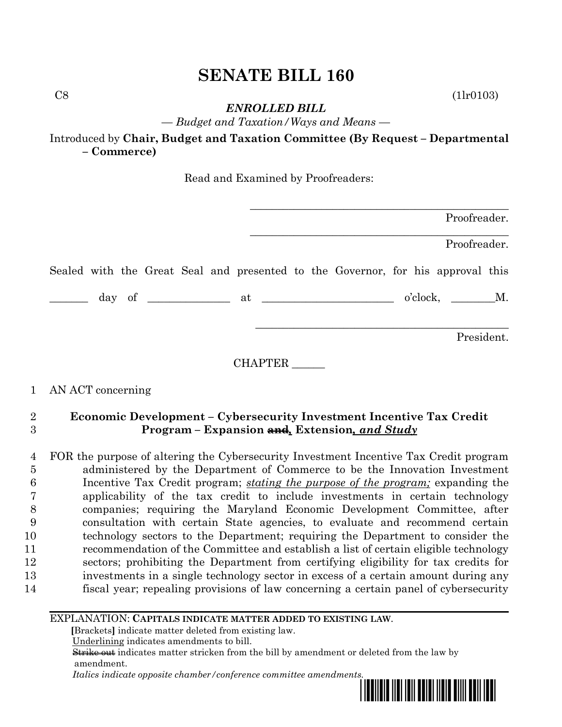$\text{C8}$  (1lr0103)

*ENROLLED BILL*

*— Budget and Taxation/Ways and Means —*

Introduced by **Chair, Budget and Taxation Committee (By Request – Departmental – Commerce)**

Read and Examined by Proofreaders:

| Proofreader.                                                                    |  |
|---------------------------------------------------------------------------------|--|
| Proofreader.                                                                    |  |
| Sealed with the Great Seal and presented to the Governor, for his approval this |  |
| $o'clock, \t M.$                                                                |  |
| President.                                                                      |  |
| CHAPTER                                                                         |  |

# 1 AN ACT concerning

# 2 **Economic Development – Cybersecurity Investment Incentive Tax Credit**  3 **Program – Expansion and***,* **Extension***, and Study*

 FOR the purpose of altering the Cybersecurity Investment Incentive Tax Credit program administered by the Department of Commerce to be the Innovation Investment Incentive Tax Credit program; *stating the purpose of the program;* expanding the applicability of the tax credit to include investments in certain technology companies; requiring the Maryland Economic Development Committee, after consultation with certain State agencies, to evaluate and recommend certain technology sectors to the Department; requiring the Department to consider the recommendation of the Committee and establish a list of certain eligible technology sectors; prohibiting the Department from certifying eligibility for tax credits for investments in a single technology sector in excess of a certain amount during any fiscal year; repealing provisions of law concerning a certain panel of cybersecurity

## EXPLANATION: **CAPITALS INDICATE MATTER ADDED TO EXISTING LAW**.

 **[**Brackets**]** indicate matter deleted from existing law.

Underlining indicates amendments to bill.

 Strike out indicates matter stricken from the bill by amendment or deleted from the law by amendment.

 *Italics indicate opposite chamber/conference committee amendments.*

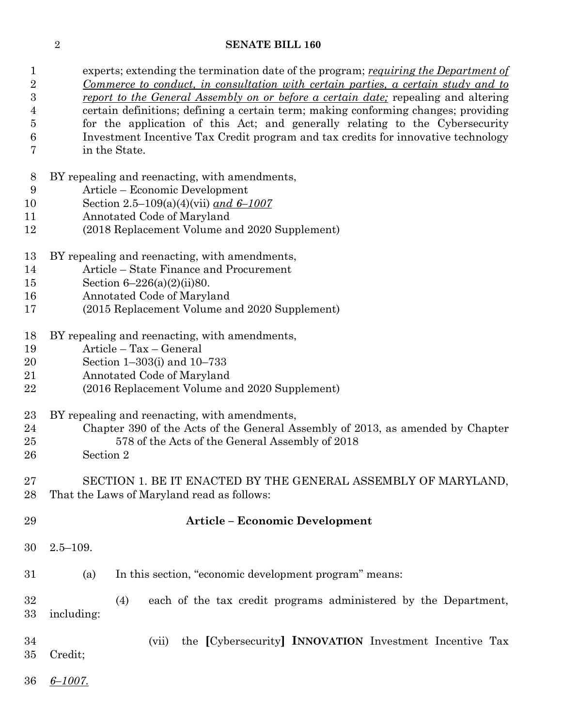experts; extending the termination date of the program; *requiring the Department of Commerce to conduct, in consultation with certain parties, a certain study and to* 

| $\boldsymbol{3}$ | <u>report to the General Assembly on or before a certain date</u> ; repealing and altering |  |  |  |  |
|------------------|--------------------------------------------------------------------------------------------|--|--|--|--|
| 4                | certain definitions; defining a certain term; making conforming changes; providing         |  |  |  |  |
| $\overline{5}$   | for the application of this Act; and generally relating to the Cybersecurity               |  |  |  |  |
| 6                | Investment Incentive Tax Credit program and tax credits for innovative technology          |  |  |  |  |
| 7                | in the State.                                                                              |  |  |  |  |
| 8                | BY repealing and reenacting, with amendments,                                              |  |  |  |  |
| 9                | Article – Economic Development                                                             |  |  |  |  |
| 10               | Section 2.5–109(a)(4)(vii) and $6-1007$                                                    |  |  |  |  |
| 11               | Annotated Code of Maryland                                                                 |  |  |  |  |
| 12               | (2018 Replacement Volume and 2020 Supplement)                                              |  |  |  |  |
| 13               | BY repealing and reenacting, with amendments,                                              |  |  |  |  |
| 14               | Article – State Finance and Procurement                                                    |  |  |  |  |
| 15               | Section $6 - 226(a)(2)(ii)80$ .                                                            |  |  |  |  |
| 16               | Annotated Code of Maryland                                                                 |  |  |  |  |
| 17               | (2015 Replacement Volume and 2020 Supplement)                                              |  |  |  |  |
| 18               | BY repealing and reenacting, with amendments,                                              |  |  |  |  |
| 19               | Article - Tax - General                                                                    |  |  |  |  |
| 20               | Section 1-303(i) and 10-733                                                                |  |  |  |  |
| 21               | Annotated Code of Maryland                                                                 |  |  |  |  |
| 22               | (2016 Replacement Volume and 2020 Supplement)                                              |  |  |  |  |
| 23               | BY repealing and reenacting, with amendments,                                              |  |  |  |  |
| 24               | Chapter 390 of the Acts of the General Assembly of 2013, as amended by Chapter             |  |  |  |  |
| 25               | 578 of the Acts of the General Assembly of 2018                                            |  |  |  |  |
| 26               | Section 2                                                                                  |  |  |  |  |
| 27               | SECTION 1. BE IT ENACTED BY THE GENERAL ASSEMBLY OF MARYLAND,                              |  |  |  |  |
| 28               | That the Laws of Maryland read as follows:                                                 |  |  |  |  |
|                  |                                                                                            |  |  |  |  |
| 29               | <b>Article - Economic Development</b>                                                      |  |  |  |  |
| 30               | $2.5 - 109.$                                                                               |  |  |  |  |
| 31               | In this section, "economic development program" means:<br>(a)                              |  |  |  |  |
|                  |                                                                                            |  |  |  |  |

 (4) each of the tax credit programs administered by the Department, including:

- (vii) the **[**Cybersecurity**] INNOVATION** Investment Incentive Tax Credit;
- *6–1007.*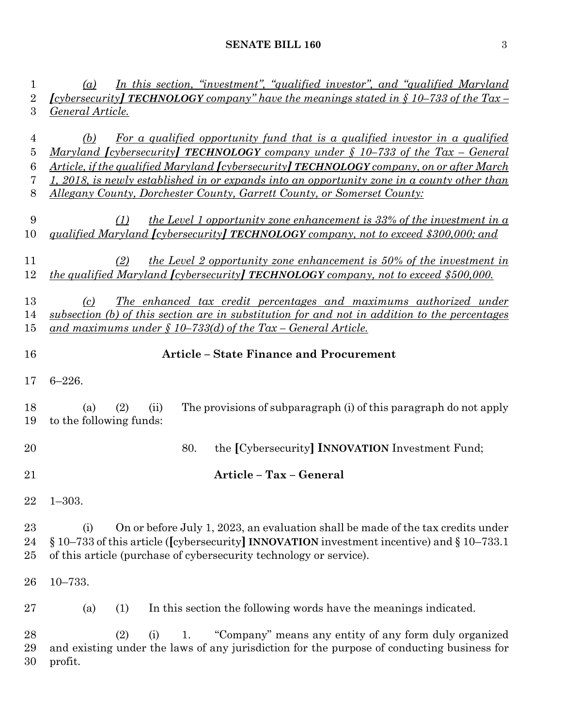| $\mathbf 1$<br>$\overline{2}$<br>3              | In this section, "investment", "qualified investor", and "qualified Maryland"<br>(a)<br><i>[cybersecurity]</i> <b>TECHNOLOGY</b> company" have the meanings stated in $\oint$ 10–733 of the Tax-<br>General Article.                                                                                                                                                                                                                                                     |  |  |  |  |  |
|-------------------------------------------------|--------------------------------------------------------------------------------------------------------------------------------------------------------------------------------------------------------------------------------------------------------------------------------------------------------------------------------------------------------------------------------------------------------------------------------------------------------------------------|--|--|--|--|--|
| $\overline{4}$<br>$\overline{5}$<br>6<br>7<br>8 | <u>For a qualified opportunity fund that is a qualified investor in a qualified</u><br>(b)<br><u>Maryland [cybersecurity] TECHNOLOGY company under § 10–733 of the Tax – General</u><br>Article, if the qualified Maryland <i>[cybersecurity]</i> <b>TECHNOLOGY</b> company, on or after March<br>1, 2018, is newly established in or expands into an opportunity zone in a county other than<br>Allegany County, Dorchester County, Garrett County, or Somerset County: |  |  |  |  |  |
| 9<br>10                                         | the Level 1 opportunity zone enhancement is $33\%$ of the investment in a<br>(1)<br>qualified Maryland <i>[cybersecurity]</i> <b>TECHNOLOGY</b> company, not to exceed \$300,000; and                                                                                                                                                                                                                                                                                    |  |  |  |  |  |
| 11<br>12                                        | (2)<br>the Level 2 opportunity zone enhancement is $50\%$ of the investment in<br><i>the qualified Maryland [cybersecurity] TECHNOLOGY company, not to exceed \$500,000.</i>                                                                                                                                                                                                                                                                                             |  |  |  |  |  |
| 13<br>14<br>15                                  | <u>The enhanced tax credit percentages and maximums authorized under</u><br>(c)<br>subsection (b) of this section are in substitution for and not in addition to the percentages<br>and maximums under $\S$ 10–733(d) of the Tax – General Article.                                                                                                                                                                                                                      |  |  |  |  |  |
| 16                                              | <b>Article - State Finance and Procurement</b>                                                                                                                                                                                                                                                                                                                                                                                                                           |  |  |  |  |  |
| 17                                              | $6 - 226.$                                                                                                                                                                                                                                                                                                                                                                                                                                                               |  |  |  |  |  |
| 18<br>19                                        | The provisions of subparagraph (i) of this paragraph do not apply<br>(2)<br>(ii)<br>(a)<br>to the following funds:                                                                                                                                                                                                                                                                                                                                                       |  |  |  |  |  |
| 20                                              | the [Cybersecurity] <b>INNOVATION</b> Investment Fund;<br>80.                                                                                                                                                                                                                                                                                                                                                                                                            |  |  |  |  |  |
| 21                                              | Article - Tax - General                                                                                                                                                                                                                                                                                                                                                                                                                                                  |  |  |  |  |  |
| 22                                              | $1 - 303.$                                                                                                                                                                                                                                                                                                                                                                                                                                                               |  |  |  |  |  |
| 23<br>24<br>25                                  | On or before July 1, 2023, an evaluation shall be made of the tax credits under<br>(i)<br>$\S 10-733$ of this article ([cybersecurity] INNOVATION investment incentive) and $\S 10-733.1$<br>of this article (purchase of cybersecurity technology or service).                                                                                                                                                                                                          |  |  |  |  |  |
| 26                                              | $10 - 733.$                                                                                                                                                                                                                                                                                                                                                                                                                                                              |  |  |  |  |  |
| 27                                              | (1)<br>In this section the following words have the meanings indicated.<br>(a)                                                                                                                                                                                                                                                                                                                                                                                           |  |  |  |  |  |
| 28<br>29<br>30                                  | (2)<br>"Company" means any entity of any form duly organized<br>1.<br>(i)<br>and existing under the laws of any jurisdiction for the purpose of conducting business for<br>profit.                                                                                                                                                                                                                                                                                       |  |  |  |  |  |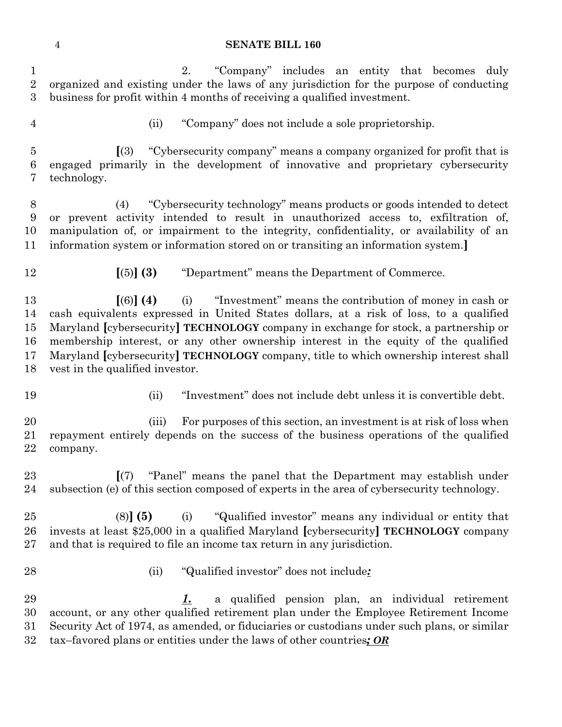2. "Company" includes an entity that becomes duly organized and existing under the laws of any jurisdiction for the purpose of conducting business for profit within 4 months of receiving a qualified investment.

- 
- (ii) "Company" does not include a sole proprietorship.

 **[**(3) "Cybersecurity company" means a company organized for profit that is engaged primarily in the development of innovative and proprietary cybersecurity technology.

 (4) "Cybersecurity technology" means products or goods intended to detect or prevent activity intended to result in unauthorized access to, exfiltration of, manipulation of, or impairment to the integrity, confidentiality, or availability of an information system or information stored on or transiting an information system.**]**

- 
- **[**(5)**] (3)** "Department" means the Department of Commerce.

 **[**(6)**] (4)** (i) "Investment" means the contribution of money in cash or cash equivalents expressed in United States dollars, at a risk of loss, to a qualified Maryland **[**cybersecurity**] TECHNOLOGY** company in exchange for stock, a partnership or membership interest, or any other ownership interest in the equity of the qualified Maryland **[**cybersecurity**] TECHNOLOGY** company, title to which ownership interest shall vest in the qualified investor.

- 
- (ii) "Investment" does not include debt unless it is convertible debt.

 (iii) For purposes of this section, an investment is at risk of loss when repayment entirely depends on the success of the business operations of the qualified company.

 **[**(7) "Panel" means the panel that the Department may establish under subsection (e) of this section composed of experts in the area of cybersecurity technology.

 (8)**] (5)** (i) "Qualified investor" means any individual or entity that invests at least \$25,000 in a qualified Maryland **[**cybersecurity**] TECHNOLOGY** company and that is required to file an income tax return in any jurisdiction.

- 
- (ii) "Qualified investor" does not include*:*

 *1.* a qualified pension plan, an individual retirement account, or any other qualified retirement plan under the Employee Retirement Income Security Act of 1974, as amended, or fiduciaries or custodians under such plans, or similar tax–favored plans or entities under the laws of other countries*; OR*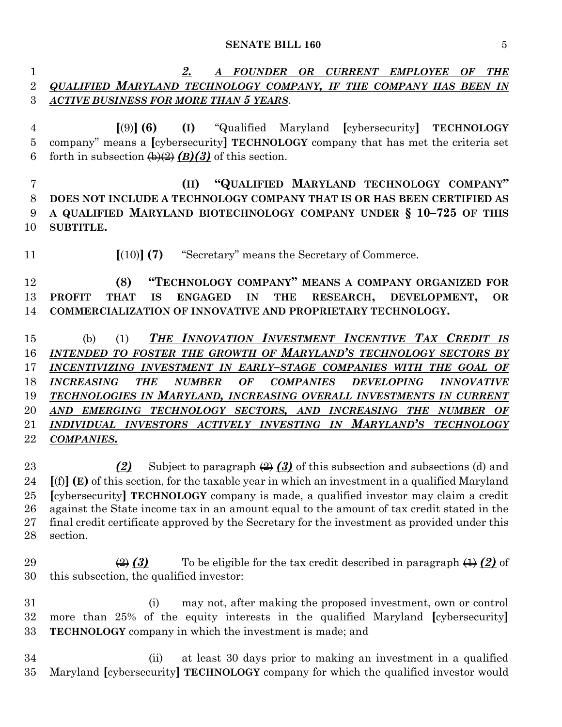*2. A FOUNDER OR CURRENT EMPLOYEE OF THE QUALIFIED MARYLAND TECHNOLOGY COMPANY, IF THE COMPANY HAS BEEN IN ACTIVE BUSINESS FOR MORE THAN 5 YEARS*.

 **[**(9)**] (6) (I)** "Qualified Maryland **[**cybersecurity**] TECHNOLOGY** company" means a **[**cybersecurity**] TECHNOLOGY** company that has met the criteria set 6 forth in subsection  $\bigoplus_{i=1}^{\infty} (B)(3)$  of this section.

 **(II) "QUALIFIED MARYLAND TECHNOLOGY COMPANY" DOES NOT INCLUDE A TECHNOLOGY COMPANY THAT IS OR HAS BEEN CERTIFIED AS A QUALIFIED MARYLAND BIOTECHNOLOGY COMPANY UNDER § 10–725 OF THIS SUBTITLE.**

**[**(10)**] (7)** "Secretary" means the Secretary of Commerce.

 **(8) "TECHNOLOGY COMPANY" MEANS A COMPANY ORGANIZED FOR PROFIT THAT IS ENGAGED IN THE RESEARCH, DEVELOPMENT, OR COMMERCIALIZATION OF INNOVATIVE AND PROPRIETARY TECHNOLOGY.**

 (b) (1) *THE INNOVATION INVESTMENT INCENTIVE TAX CREDIT IS INTENDED TO FOSTER THE GROWTH OF MARYLAND'S TECHNOLOGY SECTORS BY INCENTIVIZING INVESTMENT IN EARLY–STAGE COMPANIES WITH THE GOAL OF INCREASING THE NUMBER OF COMPANIES DEVELOPING INNOVATIVE TECHNOLOGIES IN MARYLAND, INCREASING OVERALL INVESTMENTS IN CURRENT AND EMERGING TECHNOLOGY SECTORS, AND INCREASING THE NUMBER OF INDIVIDUAL INVESTORS ACTIVELY INVESTING IN MARYLAND'S TECHNOLOGY COMPANIES.*

 *(2)* Subject to paragraph (2) *(3)* of this subsection and subsections (d) and **[**(f)**] (E)** of this section, for the taxable year in which an investment in a qualified Maryland **[**cybersecurity**] TECHNOLOGY** company is made, a qualified investor may claim a credit against the State income tax in an amount equal to the amount of tax credit stated in the final credit certificate approved by the Secretary for the investment as provided under this section.

29  $\left(\frac{2}{2}\right)$  **(3)** To be eligible for the tax credit described in paragraph  $\left(\frac{1}{2}\right)$  of this subsection, the qualified investor:

 (i) may not, after making the proposed investment, own or control more than 25% of the equity interests in the qualified Maryland **[**cybersecurity**] TECHNOLOGY** company in which the investment is made; and

 (ii) at least 30 days prior to making an investment in a qualified Maryland **[**cybersecurity**] TECHNOLOGY** company for which the qualified investor would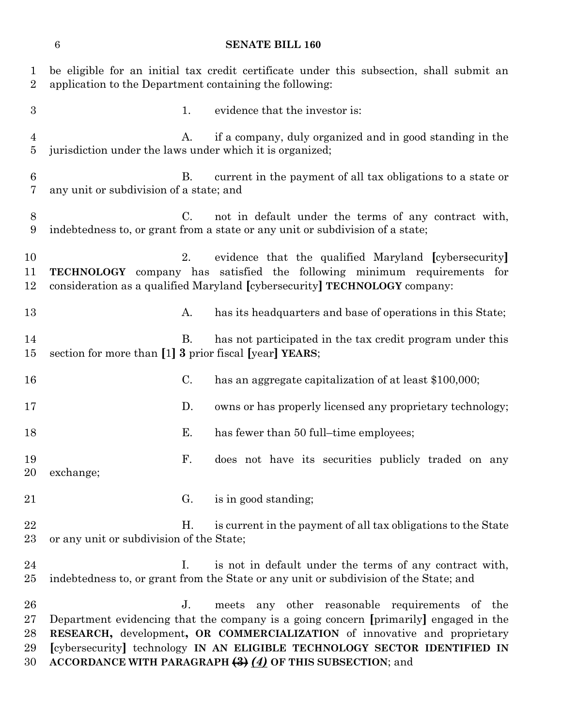be eligible for an initial tax credit certificate under this subsection, shall submit an application to the Department containing the following: 3 1. evidence that the investor is: A. if a company, duly organized and in good standing in the jurisdiction under the laws under which it is organized; B. current in the payment of all tax obligations to a state or any unit or subdivision of a state; and C. not in default under the terms of any contract with, indebtedness to, or grant from a state or any unit or subdivision of a state; 2. evidence that the qualified Maryland **[**cybersecurity**] TECHNOLOGY** company has satisfied the following minimum requirements for consideration as a qualified Maryland **[**cybersecurity**] TECHNOLOGY** company: 13 A. has its headquarters and base of operations in this State; 14 B. has not participated in the tax credit program under this section for more than **[**1**] 3** prior fiscal **[**year**] YEARS**; C. has an aggregate capitalization of at least \$100,000; **D.** owns or has properly licensed any proprietary technology; 18 E. has fewer than 50 full–time employees; F. does not have its securities publicly traded on any exchange; 21 G. is in good standing; 22 H. is current in the payment of all tax obligations to the State or any unit or subdivision of the State; 24 I. is not in default under the terms of any contract with, indebtedness to, or grant from the State or any unit or subdivision of the State; and J. meets any other reasonable requirements of the Department evidencing that the company is a going concern **[**primarily**]** engaged in the **RESEARCH,** development**, OR COMMERCIALIZATION** of innovative and proprietary **[**cybersecurity**]** technology **IN AN ELIGIBLE TECHNOLOGY SECTOR IDENTIFIED IN ACCORDANCE WITH PARAGRAPH (3)** *(4)* **OF THIS SUBSECTION**; and

**SENATE BILL 160**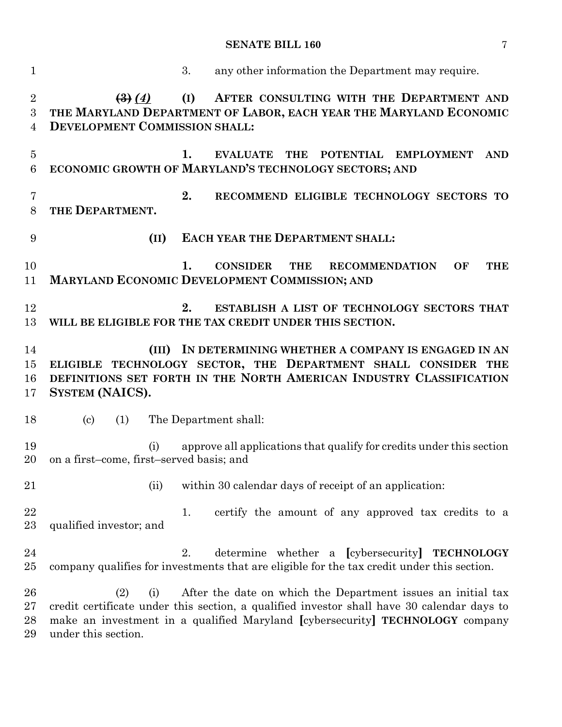| $\mathbf{1}$             | 3.<br>any other information the Department may require.                                                                                                                                                                                                                          |
|--------------------------|----------------------------------------------------------------------------------------------------------------------------------------------------------------------------------------------------------------------------------------------------------------------------------|
| $\overline{2}$<br>3<br>4 | (I)<br>AFTER CONSULTING WITH THE DEPARTMENT AND<br>$\left( 3\right) (4)$<br>THE MARYLAND DEPARTMENT OF LABOR, EACH YEAR THE MARYLAND ECONOMIC<br><b>DEVELOPMENT COMMISSION SHALL:</b>                                                                                            |
| $\overline{5}$<br>6      | 1.<br>THE POTENTIAL EMPLOYMENT<br><b>EVALUATE</b><br><b>AND</b><br>ECONOMIC GROWTH OF MARYLAND'S TECHNOLOGY SECTORS; AND                                                                                                                                                         |
| 7<br>8                   | 2.<br>RECOMMEND ELIGIBLE TECHNOLOGY SECTORS TO<br>THE DEPARTMENT.                                                                                                                                                                                                                |
| 9                        | <b>EACH YEAR THE DEPARTMENT SHALL:</b><br>(II)                                                                                                                                                                                                                                   |
| 10<br>11                 | <b>CONSIDER</b><br>1.<br><b>THE</b><br><b>RECOMMENDATION</b><br>OF<br><b>THE</b><br>MARYLAND ECONOMIC DEVELOPMENT COMMISSION; AND                                                                                                                                                |
| 12<br>13                 | 2.<br>ESTABLISH A LIST OF TECHNOLOGY SECTORS THAT<br>WILL BE ELIGIBLE FOR THE TAX CREDIT UNDER THIS SECTION.                                                                                                                                                                     |
| 14<br>15<br>16<br>17     | (III) IN DETERMINING WHETHER A COMPANY IS ENGAGED IN AN<br>ELIGIBLE TECHNOLOGY SECTOR, THE DEPARTMENT SHALL CONSIDER THE<br>DEFINITIONS SET FORTH IN THE NORTH AMERICAN INDUSTRY CLASSIFICATION<br>SYSTEM (NAICS).                                                               |
| 18                       | (1)<br>The Department shall:<br>$\left( \mathrm{c}\right)$                                                                                                                                                                                                                       |
| 19<br>20                 | approve all applications that qualify for credits under this section<br>(i)<br>on a first-come, first-served basis; and                                                                                                                                                          |
| 21                       | within 30 calendar days of receipt of an application:<br>(ii)                                                                                                                                                                                                                    |
| 22<br>23                 | certify the amount of any approved tax credits to a<br>1.<br>qualified investor; and                                                                                                                                                                                             |
| 24<br>$25\,$             | determine whether a [cybersecurity] TECHNOLOGY<br>2.<br>company qualifies for investments that are eligible for the tax credit under this section.                                                                                                                               |
| 26<br>$27\,$<br>28<br>29 | After the date on which the Department issues an initial tax<br>(2)<br>(i)<br>credit certificate under this section, a qualified investor shall have 30 calendar days to<br>make an investment in a qualified Maryland [cybersecurity] TECHNOLOGY company<br>under this section. |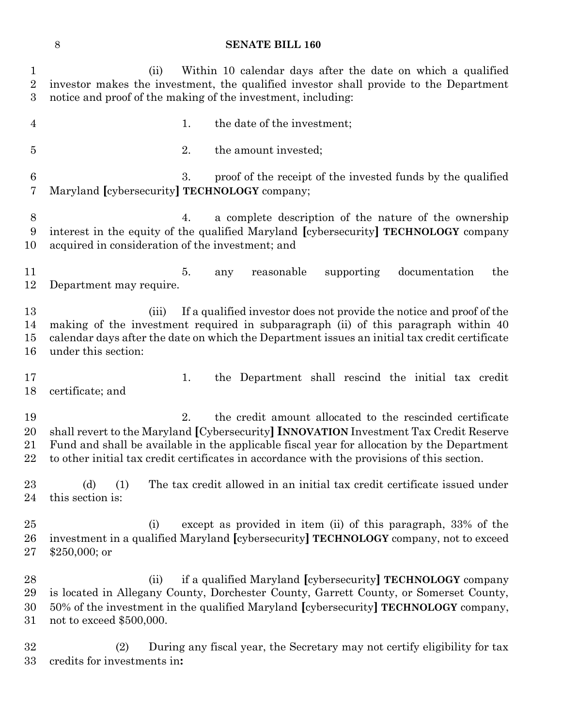| $\mathbf{1}$<br>$\overline{2}$<br>3 | Within 10 calendar days after the date on which a qualified<br>(ii)<br>investor makes the investment, the qualified investor shall provide to the Department<br>notice and proof of the making of the investment, including:                                                                                                                         |
|-------------------------------------|------------------------------------------------------------------------------------------------------------------------------------------------------------------------------------------------------------------------------------------------------------------------------------------------------------------------------------------------------|
| $\overline{4}$                      | the date of the investment;<br>1.                                                                                                                                                                                                                                                                                                                    |
| $\overline{5}$                      | 2.<br>the amount invested;                                                                                                                                                                                                                                                                                                                           |
| 6<br>7                              | 3.<br>proof of the receipt of the invested funds by the qualified<br>Maryland [cybersecurity] TECHNOLOGY company;                                                                                                                                                                                                                                    |
| 8<br>9<br>10                        | a complete description of the nature of the ownership<br>4.<br>interest in the equity of the qualified Maryland [cybersecurity] TECHNOLOGY company<br>acquired in consideration of the investment; and                                                                                                                                               |
| 11<br>12                            | 5.<br>reasonable<br>supporting<br>documentation<br>the<br>any<br>Department may require.                                                                                                                                                                                                                                                             |
| 13<br>14<br>15<br>16                | If a qualified investor does not provide the notice and proof of the<br>(iii)<br>making of the investment required in subparagraph (ii) of this paragraph within 40<br>calendar days after the date on which the Department issues an initial tax credit certificate<br>under this section:                                                          |
| 17<br>18                            | the Department shall rescind the initial tax credit<br>1.<br>certificate; and                                                                                                                                                                                                                                                                        |
| 19<br>20<br>21<br>22                | 2.<br>the credit amount allocated to the rescinded certificate<br>shall revert to the Maryland [Cybersecurity] INNOVATION Investment Tax Credit Reserve<br>Fund and shall be available in the applicable fiscal year for allocation by the Department<br>to other initial tax credit certificates in accordance with the provisions of this section. |
| 23<br>24                            | The tax credit allowed in an initial tax credit certificate issued under<br>(d)<br>(1)<br>this section is:                                                                                                                                                                                                                                           |
| $25\,$<br>26<br>$27\,$              | except as provided in item (ii) of this paragraph, 33% of the<br>(i)<br>investment in a qualified Maryland [cybersecurity] TECHNOLOGY company, not to exceed<br>$$250,000;$ or                                                                                                                                                                       |
| 28<br>29<br>30<br>$31\,$            | if a qualified Maryland [cybersecurity] <b>TECHNOLOGY</b> company<br>(ii)<br>is located in Allegany County, Dorchester County, Garrett County, or Somerset County,<br>50% of the investment in the qualified Maryland [cybersecurity] TECHNOLOGY company,<br>not to exceed $$500,000$ .                                                              |
| 32                                  | During any fiscal year, the Secretary may not certify eligibility for tax<br>(2)                                                                                                                                                                                                                                                                     |

credits for investments in**:**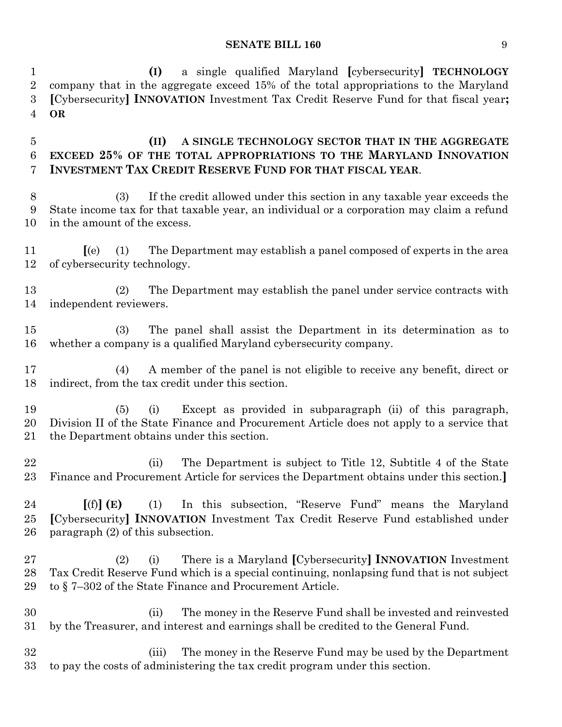**(I)** a single qualified Maryland **[**cybersecurity**] TECHNOLOGY** company that in the aggregate exceed 15% of the total appropriations to the Maryland

 **[**Cybersecurity**] INNOVATION** Investment Tax Credit Reserve Fund for that fiscal year**; OR (II) A SINGLE TECHNOLOGY SECTOR THAT IN THE AGGREGATE EXCEED 25% OF THE TOTAL APPROPRIATIONS TO THE MARYLAND INNOVATION INVESTMENT TAX CREDIT RESERVE FUND FOR THAT FISCAL YEAR**. (3) If the credit allowed under this section in any taxable year exceeds the State income tax for that taxable year, an individual or a corporation may claim a refund in the amount of the excess. **[**(e) (1) The Department may establish a panel composed of experts in the area of cybersecurity technology. (2) The Department may establish the panel under service contracts with independent reviewers. (3) The panel shall assist the Department in its determination as to whether a company is a qualified Maryland cybersecurity company. (4) A member of the panel is not eligible to receive any benefit, direct or indirect, from the tax credit under this section. (5) (i) Except as provided in subparagraph (ii) of this paragraph, Division II of the State Finance and Procurement Article does not apply to a service that the Department obtains under this section. (ii) The Department is subject to Title 12, Subtitle 4 of the State Finance and Procurement Article for services the Department obtains under this section.**] [**(f)**] (E)** (1) In this subsection, "Reserve Fund" means the Maryland **[**Cybersecurity**] INNOVATION** Investment Tax Credit Reserve Fund established under paragraph (2) of this subsection. (2) (i) There is a Maryland **[**Cybersecurity**] INNOVATION** Investment Tax Credit Reserve Fund which is a special continuing, nonlapsing fund that is not subject to § 7–302 of the State Finance and Procurement Article. (ii) The money in the Reserve Fund shall be invested and reinvested by the Treasurer, and interest and earnings shall be credited to the General Fund. (iii) The money in the Reserve Fund may be used by the Department to pay the costs of administering the tax credit program under this section.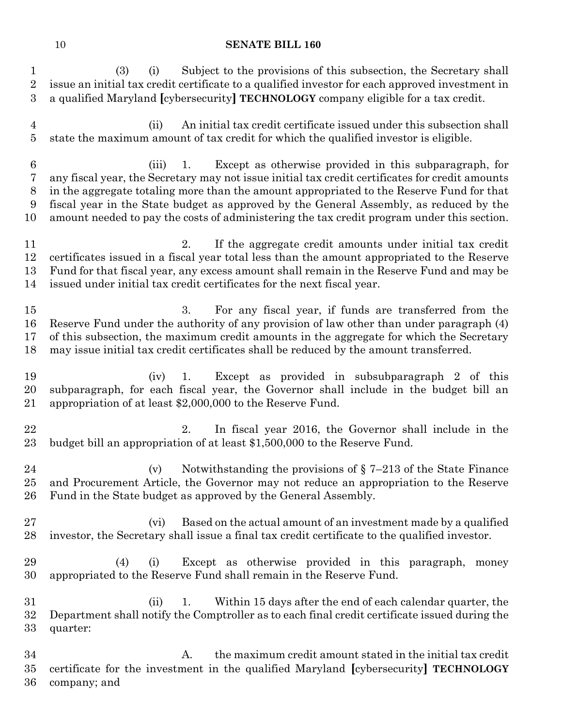| $\mathbf{1}$<br>$\sqrt{2}$<br>3           | Subject to the provisions of this subsection, the Secretary shall<br>(3)<br>(i)<br>issue an initial tax credit certificate to a qualified investor for each approved investment in<br>a qualified Maryland [cybersecurity] TECHNOLOGY company eligible for a tax credit.                                                                                                                                                                                     |
|-------------------------------------------|--------------------------------------------------------------------------------------------------------------------------------------------------------------------------------------------------------------------------------------------------------------------------------------------------------------------------------------------------------------------------------------------------------------------------------------------------------------|
| $\overline{4}$<br>$\overline{5}$          | An initial tax credit certificate issued under this subsection shall<br>(ii)<br>state the maximum amount of tax credit for which the qualified investor is eligible.                                                                                                                                                                                                                                                                                         |
| $\boldsymbol{6}$<br>7<br>$8\,$<br>9<br>10 | Except as otherwise provided in this subparagraph, for<br>(iii)<br>1.<br>any fiscal year, the Secretary may not issue initial tax credit certificates for credit amounts<br>in the aggregate totaling more than the amount appropriated to the Reserve Fund for that<br>fiscal year in the State budget as approved by the General Assembly, as reduced by the<br>amount needed to pay the costs of administering the tax credit program under this section. |
| 11<br>12<br>13<br>14                      | 2.<br>If the aggregate credit amounts under initial tax credit<br>certificates issued in a fiscal year total less than the amount appropriated to the Reserve<br>Fund for that fiscal year, any excess amount shall remain in the Reserve Fund and may be<br>issued under initial tax credit certificates for the next fiscal year.                                                                                                                          |
| $15\,$<br>16<br>17<br>18                  | 3.<br>For any fiscal year, if funds are transferred from the<br>Reserve Fund under the authority of any provision of law other than under paragraph (4)<br>of this subsection, the maximum credit amounts in the aggregate for which the Secretary<br>may issue initial tax credit certificates shall be reduced by the amount transferred.                                                                                                                  |
| 19<br>20<br>21                            | Except as provided in subsubparagraph 2 of this<br>(iv)<br>1.<br>subparagraph, for each fiscal year, the Governor shall include in the budget bill an<br>appropriation of at least \$2,000,000 to the Reserve Fund.                                                                                                                                                                                                                                          |
| 22<br>23                                  | 2.<br>In fiscal year 2016, the Governor shall include in the<br>budget bill an appropriation of at least \$1,500,000 to the Reserve Fund.                                                                                                                                                                                                                                                                                                                    |
| 24<br>25<br>$26\,$                        | Notwithstanding the provisions of $\S$ 7-213 of the State Finance<br>(v)<br>and Procurement Article, the Governor may not reduce an appropriation to the Reserve<br>Fund in the State budget as approved by the General Assembly.                                                                                                                                                                                                                            |
| $27\,$<br>28                              | Based on the actual amount of an investment made by a qualified<br>(vi)<br>investor, the Secretary shall issue a final tax credit certificate to the qualified investor.                                                                                                                                                                                                                                                                                     |
| 29<br>30                                  | Except as otherwise provided in this paragraph,<br>(4)<br>(i)<br>money<br>appropriated to the Reserve Fund shall remain in the Reserve Fund.                                                                                                                                                                                                                                                                                                                 |
| $31\,$<br>32<br>$33\,$                    | Within 15 days after the end of each calendar quarter, the<br>(ii)<br>1.<br>Department shall notify the Comptroller as to each final credit certificate issued during the<br>quarter:                                                                                                                                                                                                                                                                        |
| 34<br>$35\,$<br>36                        | A.<br>the maximum credit amount stated in the initial tax credit<br>certificate for the investment in the qualified Maryland [cybersecurity] TECHNOLOGY<br>company; and                                                                                                                                                                                                                                                                                      |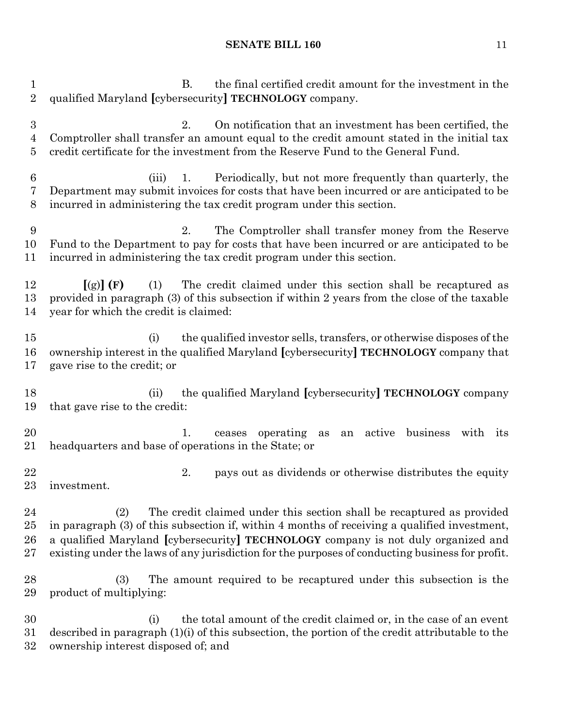B. the final certified credit amount for the investment in the qualified Maryland **[**cybersecurity**] TECHNOLOGY** company. 2. On notification that an investment has been certified, the Comptroller shall transfer an amount equal to the credit amount stated in the initial tax credit certificate for the investment from the Reserve Fund to the General Fund. (iii) 1. Periodically, but not more frequently than quarterly, the Department may submit invoices for costs that have been incurred or are anticipated to be incurred in administering the tax credit program under this section. 2. The Comptroller shall transfer money from the Reserve Fund to the Department to pay for costs that have been incurred or are anticipated to be incurred in administering the tax credit program under this section. **[**(g)**] (F)** (1) The credit claimed under this section shall be recaptured as provided in paragraph (3) of this subsection if within 2 years from the close of the taxable year for which the credit is claimed: (i) the qualified investor sells, transfers, or otherwise disposes of the ownership interest in the qualified Maryland **[**cybersecurity**] TECHNOLOGY** company that gave rise to the credit; or (ii) the qualified Maryland **[**cybersecurity**] TECHNOLOGY** company that gave rise to the credit: 1. ceases operating as an active business with its headquarters and base of operations in the State; or 22 22 2. pays out as dividends or otherwise distributes the equity investment. (2) The credit claimed under this section shall be recaptured as provided in paragraph (3) of this subsection if, within 4 months of receiving a qualified investment, a qualified Maryland **[**cybersecurity**] TECHNOLOGY** company is not duly organized and existing under the laws of any jurisdiction for the purposes of conducting business for profit. (3) The amount required to be recaptured under this subsection is the product of multiplying: (i) the total amount of the credit claimed or, in the case of an event described in paragraph (1)(i) of this subsection, the portion of the credit attributable to the ownership interest disposed of; and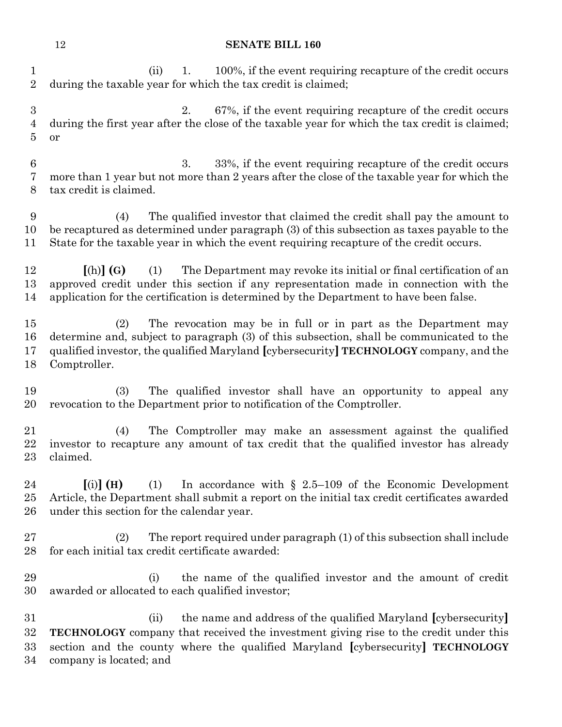|                                         | 12                                                                                                                                                                                                                                                                          | <b>SENATE BILL 160</b>                                                                                                                                             |
|-----------------------------------------|-----------------------------------------------------------------------------------------------------------------------------------------------------------------------------------------------------------------------------------------------------------------------------|--------------------------------------------------------------------------------------------------------------------------------------------------------------------|
| $\mathbf{1}$<br>$\overline{2}$          | (ii)                                                                                                                                                                                                                                                                        | 100%, if the event requiring recapture of the credit occurs<br>1.<br>during the taxable year for which the tax credit is claimed;                                  |
| $\boldsymbol{3}$<br>$\overline{4}$<br>5 | or                                                                                                                                                                                                                                                                          | 67%, if the event requiring recapture of the credit occurs<br>2.<br>during the first year after the close of the taxable year for which the tax credit is claimed; |
| $\boldsymbol{6}$<br>7<br>8              | tax credit is claimed.                                                                                                                                                                                                                                                      | 3.<br>33%, if the event requiring recapture of the credit occurs<br>more than 1 year but not more than 2 years after the close of the taxable year for which the   |
| 9<br>10<br>11                           | The qualified investor that claimed the credit shall pay the amount to<br>(4)<br>be recaptured as determined under paragraph (3) of this subsection as taxes payable to the<br>State for the taxable year in which the event requiring recapture of the credit occurs.      |                                                                                                                                                                    |
| 12<br>13<br>14                          | The Department may revoke its initial or final certification of an<br>$[(h)]$ $(G)$<br>(1)<br>approved credit under this section if any representation made in connection with the<br>application for the certification is determined by the Department to have been false. |                                                                                                                                                                    |
| $15\,$<br>16<br>17<br>18                | The revocation may be in full or in part as the Department may<br>(2)<br>determine and, subject to paragraph (3) of this subsection, shall be communicated to the<br>qualified investor, the qualified Maryland [cybersecurity] TECHNOLOGY company, and the<br>Comptroller. |                                                                                                                                                                    |
| 19<br>20                                | (3)                                                                                                                                                                                                                                                                         | The qualified investor shall have an opportunity to appeal any<br>revocation to the Department prior to notification of the Comptroller.                           |
| 21<br>$22\,$<br>$23\,$                  | (4)<br>claimed.                                                                                                                                                                                                                                                             | The Comptroller may make an assessment against the qualified<br>investor to recapture any amount of tax credit that the qualified investor has already             |
| 24<br>$25\,$<br>26                      | $[(i)]$ (H)<br>(1)<br>under this section for the calendar year.                                                                                                                                                                                                             | In accordance with $\S$ 2.5–109 of the Economic Development<br>Article, the Department shall submit a report on the initial tax credit certificates awarded        |
| 27<br>$^{28}$                           | (2)<br>for each initial tax credit certificate awarded:                                                                                                                                                                                                                     | The report required under paragraph (1) of this subsection shall include                                                                                           |
| 29<br>30                                | (i)<br>awarded or allocated to each qualified investor;                                                                                                                                                                                                                     | the name of the qualified investor and the amount of credit                                                                                                        |

 (ii) the name and address of the qualified Maryland **[**cybersecurity**] TECHNOLOGY** company that received the investment giving rise to the credit under this section and the county where the qualified Maryland **[**cybersecurity**] TECHNOLOGY** company is located; and